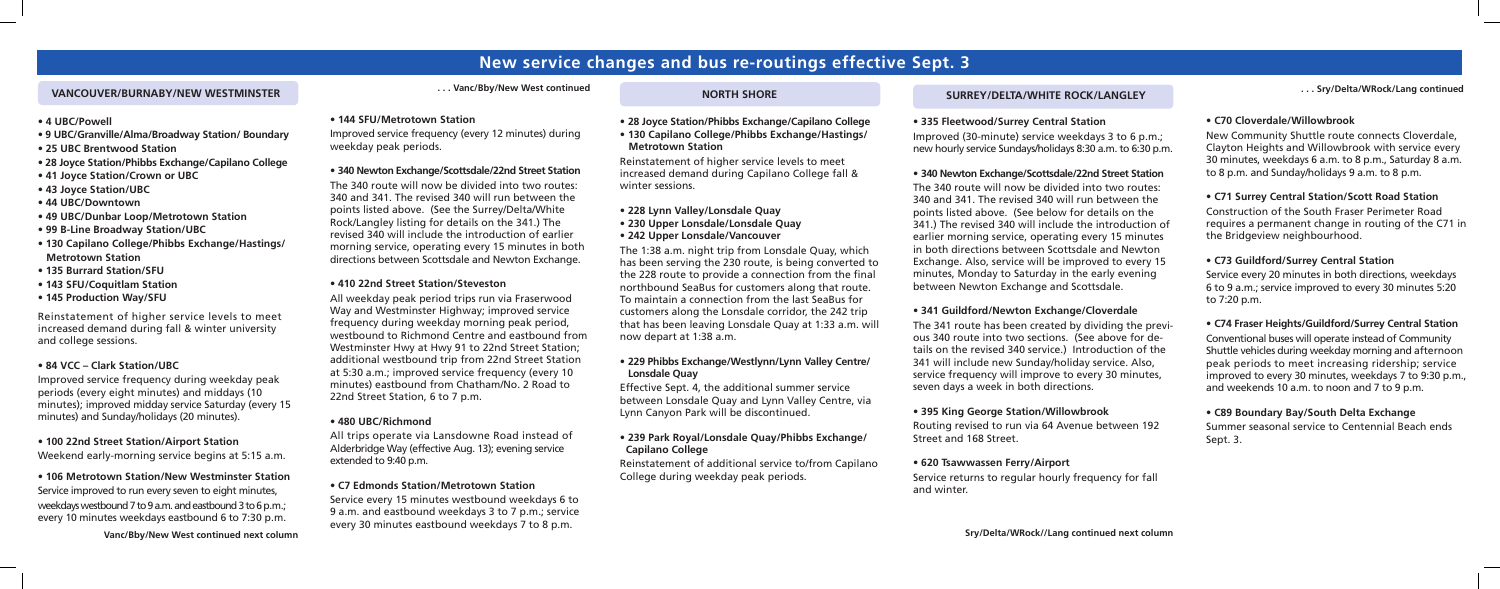## **New service changes and bus re-routings effective Sept. 3**

#### **VANCOUVER/BURNABY/NEW WESTMINSTER**

**Vanc/Bby/New West continued next column**

- **4 UBC/Powell**
- **9 UBC/Granville/Alma/Broadway Station/ Boundary**
- **25 UBC Brentwood Station**
- **28 Joyce Station/Phibbs Exchange/Capilano College**
- **41 Joyce Station/Crown or UBC**
- **43 Joyce Station/UBC**
- **44 UBC/Downtown**
- **49 UBC/Dunbar Loop/Metrotown Station**
- **99 B-Line Broadway Station/UBC**
- **130 Capilano College/Phibbs Exchange/Hastings/ Metrotown Station**
- **135 Burrard Station/SFU**
- **143 SFU/Coquitlam Station**
- **145 Production Way/SFU**

Reinstatement of higher service levels to meet increased demand during fall & winter university and college sessions.

#### **• 84 VCC – Clark Station/UBC**

Improved service frequency during weekday peak periods (every eight minutes) and middays (10 minutes); improved midday service Saturday (every 15 minutes) and Sunday/holidays (20 minutes).

#### **• 100 22nd Street Station/Airport Station**

Weekend early-morning service begins at 5:15 a.m.

#### **• 106 Metrotown Station/New Westminster Station**

Service improved to run every seven to eight minutes, weekdays westbound 7 to 9 a.m. and eastbound 3 to 6 p.m.; every 10 minutes weekdays eastbound 6 to 7:30 p.m.

#### **. . . Vanc/Bby/New West continued**

#### **• 144 SFU/Metrotown Station**

Improved service frequency (every 12 minutes) during weekday peak periods.

#### **• 340 Newton Exchange/Scottsdale/22nd Street Station**

The 340 route will now be divided into two routes: 340 and 341. The revised 340 will run between the points listed above. (See the Surrey/Delta/White Rock/Langley listing for details on the 341.) The revised 340 will include the introduction of earlier morning service, operating every 15 minutes in both directions between Scottsdale and Newton Exchange.

#### **• 410 22nd Street Station/Steveston**

All weekday peak period trips run via Fraserwood Way and Westminster Highway; improved service frequency during weekday morning peak period, westbound to Richmond Centre and eastbound from Westminster Hwy at Hwy 91 to 22nd Street Station; additional westbound trip from 22nd Street Station at 5:30 a.m.; improved service frequency (every 10 minutes) eastbound from Chatham/No. 2 Road to 22nd Street Station, 6 to 7 p.m.

#### **• 480 UBC/Richmond**

All trips operate via Lansdowne Road instead of Alderbridge Way (effective Aug. 13); evening service extended to 9:40 p.m.

#### **• C7 Edmonds Station/Metrotown Station**

Service every 15 minutes westbound weekdays 6 to 9 a.m. and eastbound weekdays 3 to 7 p.m.; service every 30 minutes eastbound weekdays 7 to 8 p.m.

|  | <b>NORTH SHORE</b> |
|--|--------------------|
|  |                    |

| • 28 Joyce Station/Phibbs Exchange/Capilano College                        |                                  |
|----------------------------------------------------------------------------|----------------------------------|
| • 130 Capilano College/Phibbs Exchange/Hastings/                           | ľ                                |
| <b>Metrotown Station</b>                                                   | r                                |
| Reinstatement of higher service levels to meet                             |                                  |
| increased demand during Capilano College fall &                            |                                  |
| winter sessions.                                                           | Ī                                |
|                                                                            | $\begin{array}{c} 1 \end{array}$ |
| • 228 Lynn Valley/Lonsdale Quay                                            | r<br>F<br>G                      |
| • 230 Upper Lonsdale/Lonsdale Quay                                         |                                  |
| • 242 Upper Lonsdale/Vancouver                                             |                                  |
| The 1:38 a.m. night trip from Lonsdale Quay, which                         | İ                                |
| has been serving the 230 route, is being converted to                      | E                                |
| the 228 route to provide a connection from the final                       | r                                |
| northbound SeaBus for customers along that route.                          | k                                |
| To maintain a connection from the last SeaBus for                          |                                  |
| customers along the Lonsdale corridor, the 242 trip                        |                                  |
| that has been leaving Lonsdale Quay at 1:33 a.m. will                      | Ī                                |
| now depart at 1:38 a.m.                                                    | $\mathsf{C}$                     |
|                                                                            | $\frac{t}{3}$                    |
| . 229 Phibbs Exchange/Westlynn/Lynn Valley Centre/<br><b>Lonsdale Quay</b> | S                                |
|                                                                            | S                                |
| Effective Sept. 4, the additional summer service                           |                                  |
| between Lonsdale Quay and Lynn Valley Centre, via                          | $\bullet$                        |
| Lynn Canyon Park will be discontinued.                                     |                                  |
|                                                                            | F                                |
| . 239 Park Royal/Lonsdale Quay/Phibbs Exchange/<br><b>Capilano College</b> | S                                |
| Reinstatement of additional service to/from Capilano                       |                                  |
| College during weekday peak periods.                                       | S                                |

#### **SURREY/DELTA/WHITE ROCK/LANGLEY**

#### **• 335 Fleetwood/Surrey Central Station**

Improved (30-minute) service weekdays 3 to 6 p.m.; new hourly service Sundays/holidays 8:30 a.m. to 6:30 p.m.

#### **• 340 Newton Exchange/Scottsdale/22nd Street Station**

The 340 route will now be divided into two routes: 340 and 341. The revised 340 will run between the points listed above. (See below for details on the 341.) The revised 340 will include the introduction of earlier morning service, operating every 15 minutes in both directions between Scottsdale and Newton Exchange. Also, service will be improved to every 15 minutes, Monday to Saturday in the early evening between Newton Exchange and Scottsdale.

#### **• 341 Guildford/Newton Exchange/Cloverdale**

The 341 route has been created by dividing the previous 340 route into two sections. (See above for details on the revised 340 service.) Introduction of the 341 will include new Sunday/holiday service. Also, service frequency will improve to every 30 minutes, seven days a week in both directions.

#### **• 395 King George Station/Willowbrook**

Routing revised to run via 64 Avenue between 192 Street and 168 Street.

**• 620 Tsawwassen Ferry/Airport** Service returns to regular hourly frequency for fall and winter.

#### **• C70 Cloverdale/Willowbrook**

New Community Shuttle route connects Cloverdale, Clayton Heights and Willowbrook with service every 30 minutes, weekdays 6 a.m. to 8 p.m., Saturday 8 a.m. to 8 p.m. and Sunday/holidays 9 a.m. to 8 p.m.

#### **• C71 Surrey Central Station/Scott Road Station**

Construction of the South Fraser Perimeter Road requires a permanent change in routing of the C71 in the Bridgeview neighbourhood.

#### **• C73 Guildford/Surrey Central Station**

Service every 20 minutes in both directions, weekdays 6 to 9 a.m.; service improved to every 30 minutes 5:20 to 7:20 p.m.

#### **• C74 Fraser Heights/Guildford/Surrey Central Station**

Conventional buses will operate instead of Community Shuttle vehicles during weekday morning and afternoon peak periods to meet increasing ridership; service improved to every 30 minutes, weekdays 7 to 9:30 p.m., and weekends 10 a.m. to noon and 7 to 9 p.m.

#### **• C89 Boundary Bay/South Delta Exchange**

Summer seasonal service to Centennial Beach ends Sept. 3.

**. . . Sry/Delta/WRock/Lang continued**